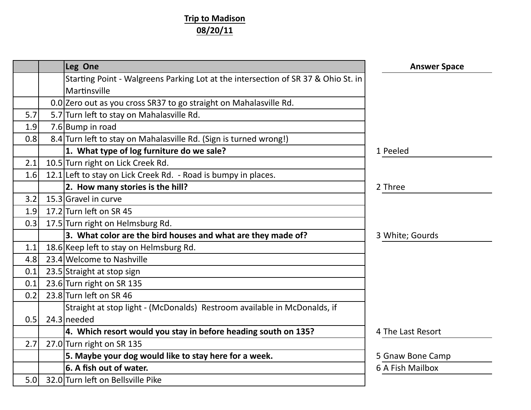## **Trip to Madison 08/20/11**

|     | Leg One                                                                                           | <b>Answer Space</b> |
|-----|---------------------------------------------------------------------------------------------------|---------------------|
|     | Starting Point - Walgreens Parking Lot at the intersection of SR 37 & Ohio St. in<br>Martinsville |                     |
|     | 0.0 Zero out as you cross SR37 to go straight on Mahalasville Rd.                                 |                     |
| 5.7 | 5.7 Turn left to stay on Mahalasville Rd.                                                         |                     |
| 1.9 | 7.6 Bump in road                                                                                  |                     |
| 0.8 | 8.4 Turn left to stay on Mahalasville Rd. (Sign is turned wrong!)                                 |                     |
|     | 1. What type of log furniture do we sale?                                                         | 1 Peeled            |
| 2.1 | 10.5 Turn right on Lick Creek Rd.                                                                 |                     |
| 1.6 | 12.1 Left to stay on Lick Creek Rd. - Road is bumpy in places.                                    |                     |
|     | 2. How many stories is the hill?                                                                  | 2 Three             |
| 3.2 | 15.3 Gravel in curve                                                                              |                     |
| 1.9 | 17.2 Turn left on SR 45                                                                           |                     |
| 0.3 | 17.5 Turn right on Helmsburg Rd.                                                                  |                     |
|     | 3. What color are the bird houses and what are they made of?                                      | 3 White; Gourds     |
| 1.1 | 18.6 Keep left to stay on Helmsburg Rd.                                                           |                     |
| 4.8 | 23.4 Welcome to Nashville                                                                         |                     |
| 0.1 | 23.5 Straight at stop sign                                                                        |                     |
| 0.1 | 23.6 Turn right on SR 135                                                                         |                     |
| 0.2 | 23.8 Turn left on SR 46                                                                           |                     |
|     | Straight at stop light - (McDonalds) Restroom available in McDonalds, if                          |                     |
| 0.5 | 24.3 needed                                                                                       |                     |
|     | 4. Which resort would you stay in before heading south on 135?                                    | 4 The Last Resort   |
| 2.7 | 27.0 Turn right on SR 135                                                                         |                     |
|     | 5. Maybe your dog would like to stay here for a week.                                             | 5 Gnaw Bone Camp    |
|     | 6. A fish out of water.                                                                           | 6 A Fish Mailbox    |
| 5.0 | 32.0 Turn left on Bellsville Pike                                                                 |                     |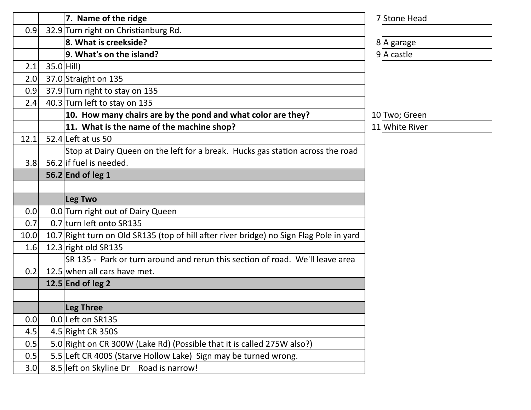|      |              | 7. Name of the ridge                                                                    | 7 Stone Head   |
|------|--------------|-----------------------------------------------------------------------------------------|----------------|
| 0.9  |              | 32.9 Turn right on Christianburg Rd.                                                    |                |
|      |              | 8. What is creekside?                                                                   | 8 A garage     |
|      |              | 9. What's on the island?                                                                | 9 A castle     |
| 2.1  | $35.0$ Hill) |                                                                                         |                |
| 2.0  |              | 37.0 Straight on 135                                                                    |                |
| 0.9  |              | 37.9 Turn right to stay on 135                                                          |                |
| 2.4  |              | 40.3 Turn left to stay on 135                                                           |                |
|      |              | 10. How many chairs are by the pond and what color are they?                            | 10 Two; Green  |
|      |              | 11. What is the name of the machine shop?                                               | 11 White River |
| 12.1 |              | 52.4 Left at us 50                                                                      |                |
|      |              | Stop at Dairy Queen on the left for a break. Hucks gas station across the road          |                |
| 3.8  |              | 56.2 if fuel is needed.                                                                 |                |
|      |              | 56.2 End of leg 1                                                                       |                |
|      |              |                                                                                         |                |
|      |              |                                                                                         |                |
|      |              | Leg Two                                                                                 |                |
| 0.0  |              | 0.0 Turn right out of Dairy Queen                                                       |                |
| 0.7  |              | 0.7 turn left onto SR135                                                                |                |
| 10.0 |              | 10.7 Right turn on Old SR135 (top of hill after river bridge) no Sign Flag Pole in yard |                |
| 1.6  |              | 12.3 right old $SR135$                                                                  |                |
|      |              | SR 135 - Park or turn around and rerun this section of road. We'll leave area           |                |
| 0.2  |              | 12.5 when all cars have met.                                                            |                |
|      |              | 12.5 $ End$ of leg 2                                                                    |                |
|      |              |                                                                                         |                |
|      |              | Leg Three                                                                               |                |
| 0.0  |              | 0.0 Left on SR135                                                                       |                |
| 4.5  |              | 4.5 Right CR 350S                                                                       |                |
| 0.5  |              | 5.0 Right on CR 300W (Lake Rd) (Possible that it is called 275W also?)                  |                |
| 0.5  |              | 5.5 Left CR 400S (Starve Hollow Lake) Sign may be turned wrong.                         |                |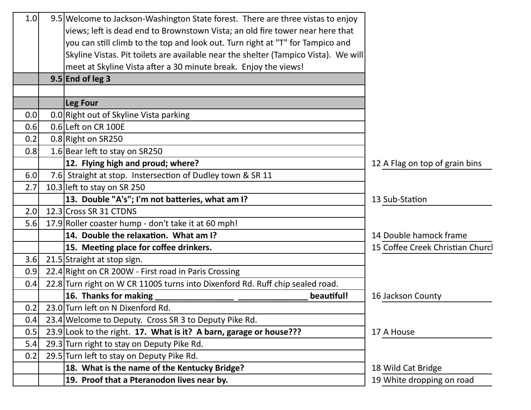| 1.0 | 9.5 Welcome to Jackson-Washington State forest. There are three vistas to enjoy     |                                  |
|-----|-------------------------------------------------------------------------------------|----------------------------------|
|     | views; left is dead end to Brownstown Vista; an old fire tower near here that       |                                  |
|     | you can still climb to the top and look out. Turn right at "T" for Tampico and      |                                  |
|     | Skyline Vistas. Pit toilets are available near the shelter (Tampico Vista). We will |                                  |
|     | meet at Skyline Vista after a 30 minute break. Enjoy the views!                     |                                  |
|     | $9.5$ End of leg 3                                                                  |                                  |
|     |                                                                                     |                                  |
|     | Leg Four                                                                            |                                  |
| 0.0 | 0.0 Right out of Skyline Vista parking                                              |                                  |
| 0.6 | 0.6 Left on CR 100E                                                                 |                                  |
| 0.2 | 0.8 Right on SR250                                                                  |                                  |
| 0.8 | 1.6 Bear left to stay on SR250                                                      |                                  |
|     | 12. Flying high and proud; where?                                                   | 12 A Flag on top of grain bins   |
| 6.0 | 7.6 Straight at stop. Instersection of Dudley town & SR 11                          |                                  |
| 2.7 | 10.3 left to stay on SR 250                                                         |                                  |
|     | 13. Double "A's"; I'm not batteries, what am I?                                     | 13 Sub-Station                   |
| 2.0 | 12.3 Cross SR 31 CTDNS                                                              |                                  |
| 5.6 | 17.9 Roller coaster hump - don't take it at 60 mph!                                 |                                  |
|     | 14. Double the relaxation. What am I?                                               | 14 Double hamock frame           |
|     | 15. Meeting place for coffee drinkers.                                              | 15 Coffee Creek Christian Churcl |
| 3.6 | 21.5 Straight at stop sign.                                                         |                                  |
| 0.9 | 22.4 Right on CR 200W - First road in Paris Crossing                                |                                  |
| 0.4 | 22.8 Turn right on W CR 1100S turns into Dixenford Rd. Ruff chip sealed road.       |                                  |
|     | 16. Thanks for making<br>beautiful!                                                 | 16 Jackson County                |
| 0.2 | 23.0 Turn left on N Dixenford Rd.                                                   |                                  |
| 0.4 | 23.4 Welcome to Deputy. Cross SR 3 to Deputy Pike Rd.                               |                                  |
| 0.5 | 23.9 Look to the right. 17. What is it? A barn, garage or house???                  | 17 A House                       |
| 5.4 | 29.3 Turn right to stay on Deputy Pike Rd.                                          |                                  |
| 0.2 | 29.5 Turn left to stay on Deputy Pike Rd.                                           |                                  |
|     | 18. What is the name of the Kentucky Bridge?                                        | 18 Wild Cat Bridge               |
|     | 19. Proof that a Pteranodon lives near by.                                          | 19 White dropping on road        |